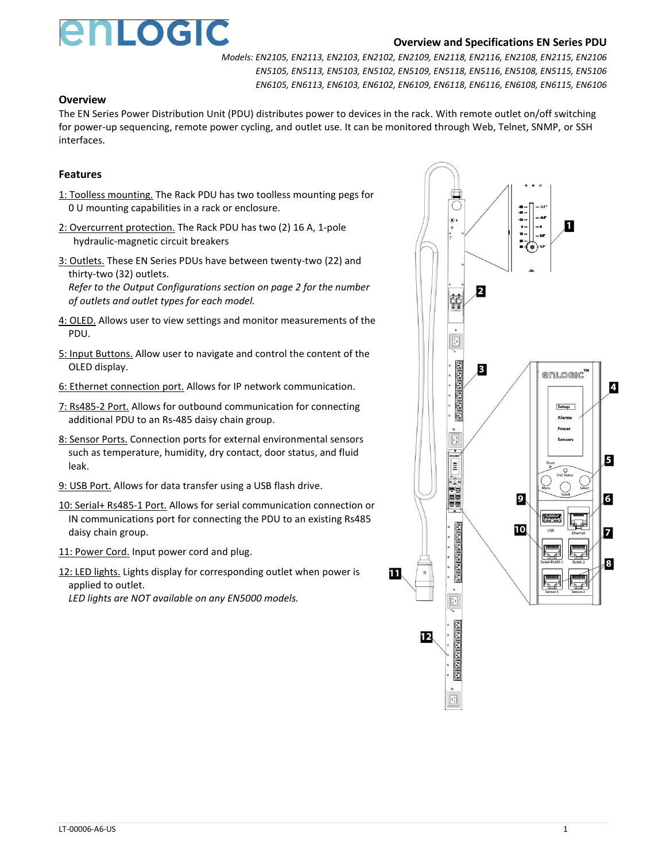

### **Overview and Specifications EN Series PDU**

*Models: EN2105, EN2113, EN2103, EN2102, EN2109, EN2118, EN2116, EN2108, EN2115, EN2106 EN5105, EN5113, EN5103, EN5102, EN5109, EN5118, EN5116, EN5108, EN5115, EN5106 EN6105, EN6113, EN6103, EN6102, EN6109, EN6118, EN6116, EN6108, EN6115, EN6106*

#### **Overview**

The EN Series Power Distribution Unit (PDU) distributes power to devices in the rack. With remote outlet on/off switching for power-up sequencing, remote power cycling, and outlet use. It can be monitored through Web, Telnet, SNMP, or SSH interfaces.

# **Features**

- 1: Toolless mounting. The Rack PDU has two toolless mounting pegs for 0 U mounting capabilities in a rack or enclosure.
- 2: Overcurrent protection. The Rack PDU has two (2) 16 A, 1-pole hydraulic-magnetic circuit breakers
- 3: Outlets. These EN Series PDUs have between twenty-two (22) and thirty-two (32) outlets.

*Refer to the Output Configurations section on page 2 for the number of outlets and outlet types for each model.*

- 4: OLED. Allows user to view settings and monitor measurements of the PDU.
- 5: Input Buttons. Allow user to navigate and control the content of the OLED display.
- 6: Ethernet connection port. Allows for IP network communication.
- 7: Rs485-2 Port. Allows for outbound communication for connecting additional PDU to an Rs-485 daisy chain group.
- 8: Sensor Ports. Connection ports for external environmental sensors such as temperature, humidity, dry contact, door status, and fluid leak.
- 9: USB Port. Allows for data transfer using a USB flash drive.
- 10: Serial+ Rs485-1 Port. Allows for serial communication connection or IN communications port for connecting the PDU to an existing Rs485 daisy chain group.
- 11: Power Cord. Input power cord and plug.
- 12: LED lights. Lights display for corresponding outlet when power is applied to outlet.

*LED lights are NOT available on any EN5000 models.*